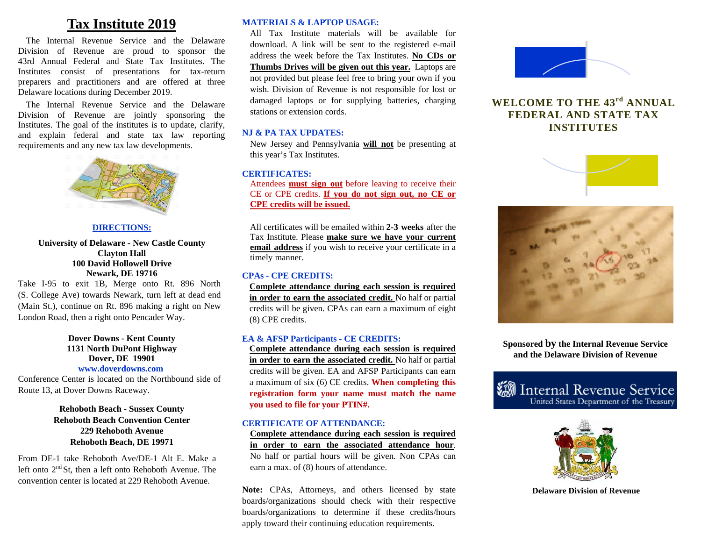# **Tax Institute 2019**

The Internal Revenue Service and the Delaware Division of Revenue are proud to sponsor the 43rd Annual Federal and State Tax Institutes. The Institutes consist of presentations for tax-return preparers and practitioners and are offered at three Delaware locations during December 2019.

The Internal Revenue Service and the Delaware Division of Revenue are jointly sponsoring the Institutes. The goal of the institutes is to update, clarify, and explain federal and state tax law reporting requirements and any new tax law developments.



#### **DIRECTIONS:**

#### **University of Delaware - New Castle County Clayton Hall 100 David Hollowell Drive Newark, DE 19716**

Take I-95 to exit 1B, Merge onto Rt. 896 North (S. College Ave) towards Newark, turn left at dead end (Main St.), continue on Rt. 896 making a right on New London Road, then a right onto Pencader Way.

#### **Dover Downs - Kent County 1131 North DuPont Highway Dover, DE 19901 www.doverdowns.com**

Conference Center is located on the Northbound side of Route 13, at Dover Downs Raceway.

#### **Rehoboth Beach - Sussex County Rehoboth Beach Convention Center 229 Rehoboth Avenue Rehoboth Beach, DE 19971**

From DE-1 take Rehoboth Ave/DE-1 Alt E. Make a left onto  $2<sup>nd</sup>$  St, then a left onto Rehoboth Avenue. The convention center is located at 229 Rehoboth Avenue.

#### **MATERIALS & LAPTOP USAGE:**

All Tax Institute materials will be available for download. A link will be sent to the registered e-mail address the week before the Tax Institutes. **No CDs or Thumbs Drives will be given out this year.** Laptops are not provided but please feel free to bring your own if you wish. Division of Revenue is not responsible for lost or damaged laptops or for supplying batteries, charging stations or extension cords.

#### **NJ & PA TAX UPDATES:**

New Jersey and Pennsylvania **will not** be presenting at this year's Tax Institutes.

#### **CERTIFICATES:**

Attendees **must sign out** before leaving to receive their CE or CPE credits. **If you do not sign out, no CE or CPE credits will be issued.**

All certificates will be emailed within **2-3 weeks** after the Tax Institute. Please **make sure we have your current email address** if you wish to receive your certificate in a timely manner.

#### **CPAs - CPE CREDITS:**

**Complete attendance during each session is required in order to earn the associated credit.** No half or partial credits will be given. CPAs can earn a maximum of eight (8) CPE credits.

#### **EA & AFSP Participants - CE CREDITS:**

**Complete attendance during each session is required in order to earn the associated credit.** No half or partial credits will be given. EA and AFSP Participants can earn a maximum of six (6) CE credits. **When completing this registration form your name must match the name you used to file for your PTIN#.**

#### **CERTIFICATE OF ATTENDANCE:**

**Complete attendance during each session is required in order to earn the associated attendance hour**. No half or partial hours will be given. Non CPAs can earn a max. of (8) hours of attendance.

Note: CPAs, Attorneys, and others licensed by state boards/organizations should check with their respective boards/organizations to determine if these credits/hours apply toward their continuing education requirements.



## **WELCOME TO THE 43rd ANNUAL FEDERAL AND STATE TAX INSTITUTES**





**Sponsored by the Internal Revenue Service and the Delaware Division of Revenue** 





**Delaware Division of Revenue**